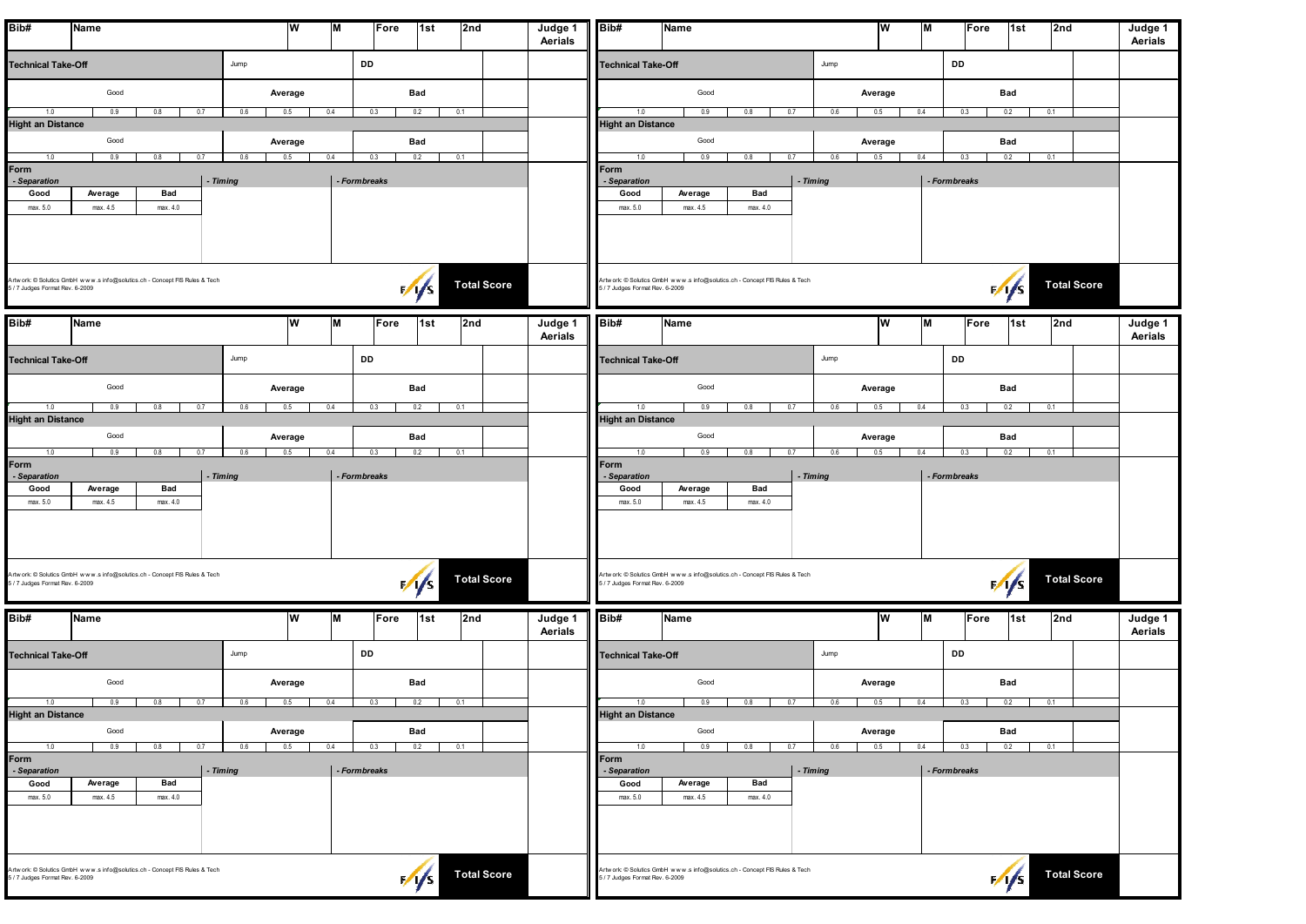| Bib#                            | Name                |                                                                            |          | W              | M            | Fore | 1st               | 2nd                | Judge 1<br>Aerials | Bib#                            | Name                                                                       |      | ۱w                    | M            | Fore | 1st           | 2nd                | Judge 1<br>Aerials |
|---------------------------------|---------------------|----------------------------------------------------------------------------|----------|----------------|--------------|------|-------------------|--------------------|--------------------|---------------------------------|----------------------------------------------------------------------------|------|-----------------------|--------------|------|---------------|--------------------|--------------------|
| <b>Technical Take-Off</b>       |                     |                                                                            | Jump     |                |              | DD   |                   |                    |                    | <b>Technical Take-Off</b>       |                                                                            | Jump |                       | DD           |      |               |                    |                    |
|                                 | Good                |                                                                            |          | Average        |              |      | Bad               |                    |                    |                                 | Good                                                                       |      | Average               |              |      | Bad           |                    |                    |
| 1.0<br><b>Hight an Distance</b> | 0.9                 | 0.8<br>0.7                                                                 | 0.6      | 0.5            | 0.4          | 0.3  | 0.2               | 0.1                |                    | 1.0<br><b>Hight an Distance</b> | 0.9<br>0.8<br>0.7                                                          | 0.6  | 0.4<br>0.5            | 0.3          |      | 0.2           | 0.1                |                    |
|                                 | Good                |                                                                            |          | Average        |              |      | Bad               |                    |                    |                                 | Good                                                                       |      | Average               |              |      | Bad           |                    |                    |
| 1.0                             | 0.9                 | 0.8<br>0.7                                                                 | 0.6      | 0.5            | 0.4          | 0.3  | 0.2               | 0.1                |                    | 1.0                             | 0.9<br>0.8<br>0.7                                                          | 0.6  | 0.5<br>0.4            | 0.3          |      | 0.2           | 0.1                |                    |
| Form<br>- Separation            |                     |                                                                            | - Timing |                | - Formbreaks |      |                   |                    |                    | Form<br>- Separation            | - Timing                                                                   |      |                       | - Formbreaks |      |               |                    |                    |
| Good<br>max. 5.0                | Average<br>max. 4.5 | Bad<br>max. 4.0                                                            |          |                |              |      |                   |                    |                    | Good<br>max. 5.0                | Bad<br>Average<br>max. 4.5<br>max. 4.0                                     |      |                       |              |      |               |                    |                    |
|                                 |                     |                                                                            |          |                |              |      |                   |                    |                    |                                 |                                                                            |      |                       |              |      |               |                    |                    |
|                                 |                     |                                                                            |          |                |              |      |                   |                    |                    |                                 |                                                                            |      |                       |              |      |               |                    |                    |
| 5 / 7 Judges Format Rev. 6-2009 |                     | Artwork: © Solutics GmbH www.s info@solutics.ch - Concept FIS Rules & Tech |          |                |              |      | 1/1/5             | <b>Total Score</b> |                    | 5 / 7 Judges Format Rev. 6-2009 | Artwork: C Solutics GmbH www.s info@solutics.ch - Concept FIS Rules & Tech |      |                       |              |      | $\frac{1}{s}$ | <b>Total Score</b> |                    |
| Bib#                            | Name                |                                                                            |          | W              | M            | Fore | 1st               | 2nd                | Judge 1<br>Aerials | Bib#                            | Name                                                                       |      | ۱w                    | M            | Fore | ∣1st          | 2nd                | Judge 1<br>Aerials |
| <b>Technical Take-Off</b>       |                     |                                                                            | Jump     |                |              | DD   |                   |                    |                    | <b>Technical Take-Off</b>       |                                                                            | Jump |                       | DD           |      |               |                    |                    |
|                                 | Good                |                                                                            |          | Average        |              |      | Bad               |                    |                    |                                 | Good                                                                       |      | Average               |              |      | Bad           |                    |                    |
| 1.0                             | 0.9                 | 0.7<br>0.8                                                                 | 0.6      | 0.5            | 0.4          | 0.3  | 0.2               | 0.1                |                    | 1.0                             | 0.7<br>0.9<br>0.8                                                          | 0.6  | 0.4<br>0.5            | 0.3          |      | 0.2           | 0.1                |                    |
| <b>Hight an Distance</b>        |                     |                                                                            |          |                |              |      |                   |                    |                    | <b>Hight an Distance</b>        |                                                                            |      |                       |              |      |               |                    |                    |
| 1.0                             | Good<br>0.9         | 0.7<br>0.8                                                                 | 0.6      | Average<br>0.5 | 0.4          | 0.3  | Bad<br>0.2<br>0.1 |                    |                    | 1.0                             | Good<br>0.9<br>0.8<br>0.7                                                  | 0.6  | Average<br>0.4<br>0.5 | 0.3          |      | Bad<br>0.2    | 0.1                |                    |
| Form<br>- Separation            |                     |                                                                            | - Timing |                | - Formbreaks |      |                   |                    |                    | Form<br>- Separation            | - Timing                                                                   |      |                       | - Formbreaks |      |               |                    |                    |
| Good                            | Average             | Bad                                                                        |          |                |              |      |                   |                    |                    | Good                            | Bad<br>Average                                                             |      |                       |              |      |               |                    |                    |
| max. 5.0                        | max. 4.5            | max. 4.0                                                                   |          |                |              |      |                   |                    |                    | max. 5.0                        | max. 4.5<br>max. 4.0                                                       |      |                       |              |      |               |                    |                    |
|                                 |                     |                                                                            |          |                |              |      |                   |                    |                    |                                 |                                                                            |      |                       |              |      |               |                    |                    |
|                                 |                     |                                                                            |          |                |              |      |                   |                    |                    |                                 |                                                                            |      |                       |              |      |               |                    |                    |
| 5 / 7 Judges Format Rev. 6-2009 |                     | Artwork: © Solutics GmbH www.s info@solutics.ch - Concept FIS Rules & Tech |          |                |              |      | $\frac{1}{5}$     | <b>Total Score</b> |                    | 5 / 7 Judges Format Rev. 6-2009 | Artwork: C Solutics GmbH www.s info@solutics.ch - Concept FIS Rules & Tech |      |                       |              |      | $\sqrt{5}$    | <b>Total Score</b> |                    |
| Bib#                            | Name                |                                                                            |          | W              | IМ           | Fore | ∣1st              | 2nd                | Judge 1<br>Aerials | Bib#                            | Name                                                                       |      | ۱w                    | M            | Fore | ∣1st          | 2nd                | Judge 1<br>Aerials |
| <b>Technical Take-Off</b>       |                     |                                                                            | Jump     |                |              | DD   |                   |                    |                    | <b>Technical Take-Off</b>       |                                                                            | Jump |                       | DD           |      |               |                    |                    |
|                                 | Good                |                                                                            |          | Average        |              |      | Bad               |                    |                    |                                 | Good                                                                       |      | Average               |              |      | Bad           |                    |                    |
| 1.0                             | 0.9                 | 0.7<br>0.8                                                                 | 0.6      | 0.5            | 0.4          | 0.3  | 0.2<br>0.1        |                    |                    | 1.0                             | 0.9<br>0.8<br>0.7                                                          | 0.6  | 0.5<br>0.4            | 0.3          |      | 0.2           | 0.1                |                    |
| <b>Hight an Distance</b>        | Good                |                                                                            |          | Average        |              |      | Bad               |                    |                    | <b>Hight an Distance</b>        | Good                                                                       |      | Average               |              |      | Bad           |                    |                    |
| 1.0                             | 0.9                 | 0.7<br>0.8                                                                 | 0.6      | 0.5            | 0.4          | 0.3  | 0.2               | 0.1                |                    | 1.0                             | 0.9<br>0.8<br>0.7                                                          | 0.6  | 0.5<br>0.4            | 0.3          |      | 0.2           | 0.1                |                    |
| Form<br>- Separation            |                     |                                                                            | - Timing |                | - Formbreaks |      |                   |                    |                    | Form<br>- Separation            | - Timing                                                                   |      |                       | - Formbreaks |      |               |                    |                    |
| Good                            | Average             | Bad                                                                        |          |                |              |      |                   |                    |                    | Good                            | Average<br>Bad                                                             |      |                       |              |      |               |                    |                    |
| max. 5.0                        | max. 4.5            | max. 4.0                                                                   |          |                |              |      |                   |                    |                    | max. 5.0                        | max. 4.5<br>max. 4.0                                                       |      |                       |              |      |               |                    |                    |
|                                 |                     |                                                                            |          |                |              |      |                   |                    |                    |                                 |                                                                            |      |                       |              |      |               |                    |                    |
| 5/7 Judges Format Rev. 6-2009   |                     | Artwork: © Solutics GmbH www.s info@solutics.ch - Concept FIS Rules & Tech |          |                |              |      | $\sqrt{1/s}$      | <b>Total Score</b> |                    | 5 / 7 Judges Format Rev. 6-2009 | Artwork: C Solutics GmbH www.s info@solutics.ch - Concept FIS Rules & Tech |      |                       |              |      | $\sqrt{s}$    | <b>Total Score</b> |                    |
|                                 |                     |                                                                            |          |                |              |      |                   |                    |                    |                                 |                                                                            |      |                       |              |      |               |                    |                    |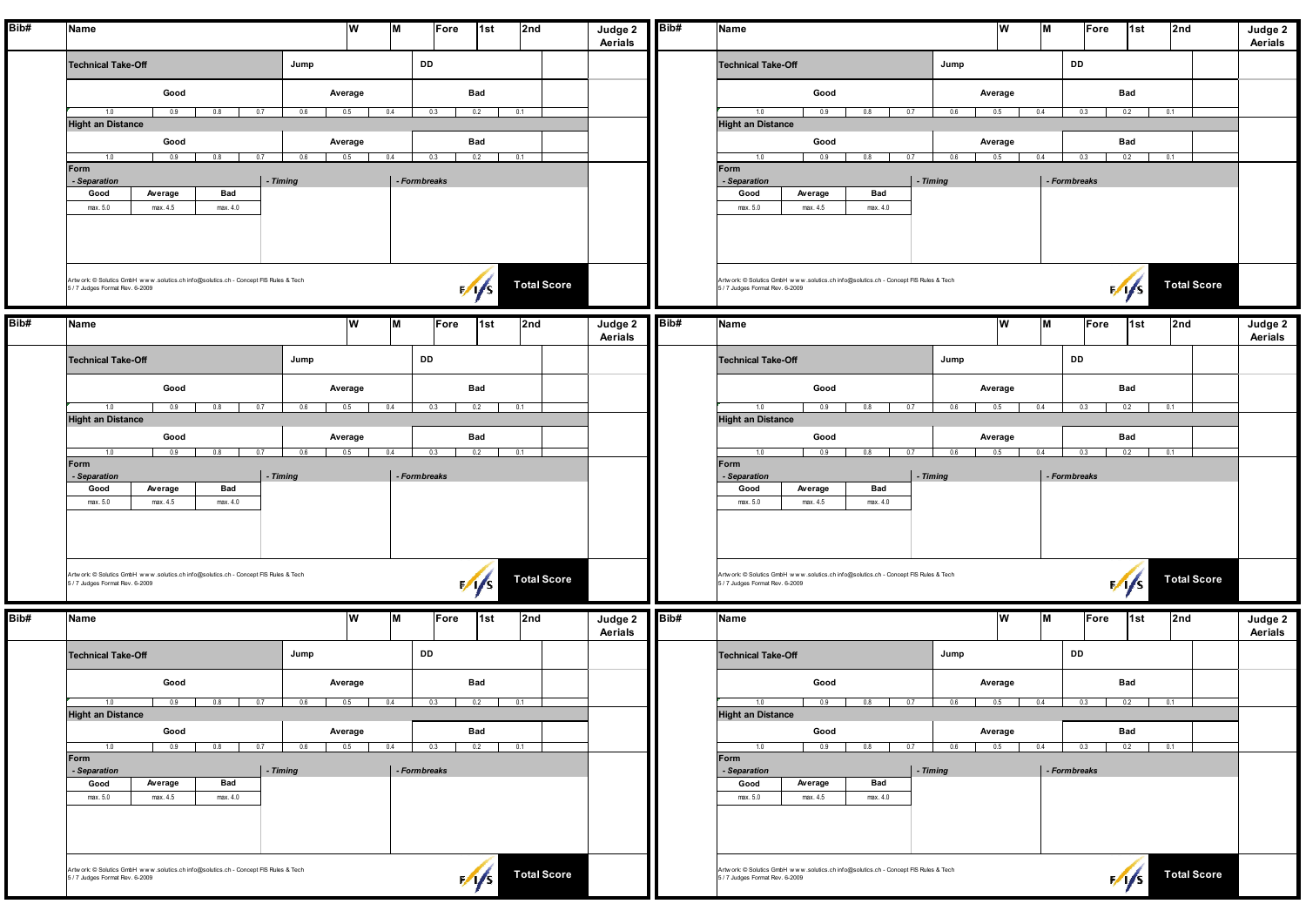| Bib# | Name                                                                                                                    | W                            | M<br>Fore<br>1st<br>2nd  | Judge 2<br>Aerials | Bib# | Name                                                                                                                    | w              | M             | Fore<br>1st  | 2nd                | Judge 2<br>Aerials |
|------|-------------------------------------------------------------------------------------------------------------------------|------------------------------|--------------------------|--------------------|------|-------------------------------------------------------------------------------------------------------------------------|----------------|---------------|--------------|--------------------|--------------------|
|      | <b>Technical Take-Off</b>                                                                                               | Jump                         | DD                       |                    |      | Jump<br><b>Technical Take-Off</b>                                                                                       |                | DD            |              |                    |                    |
|      | Good                                                                                                                    | Average                      | Bad                      |                    |      | Good                                                                                                                    | Average        |               | Bad          |                    |                    |
|      | 1.0<br>0.9<br>0.8<br>0.7<br><b>Hight an Distance</b>                                                                    | 0.6<br>0.5<br>0.4            | 0.3<br>0.2<br>0.1        |                    |      | 1.0<br>0.9<br>0.8<br>0.7<br>0.6<br><b>Hight an Distance</b>                                                             | 0.5            | 0.4<br>0.3    | 0.2          | 0.1                |                    |
|      | Good<br>0.9<br>0.8<br>0.7<br>1.0                                                                                        | Average<br>0.6<br>0.5<br>0.4 | Bad<br>0.3<br>0.2<br>0.1 |                    |      | Good<br>0.9<br>0.8<br>0.7<br>0.6<br>1.0                                                                                 | Average<br>0.5 | 0.4<br>0.3    | Bad<br>0.2   | 0.1                |                    |
|      | Form<br>- Timing<br>- Separation                                                                                        |                              | - Formbreaks             |                    |      | Form<br>- Timing<br>- Separation                                                                                        |                | - Form breaks |              |                    |                    |
|      | Bad<br>Average<br>Good<br>max. 4.5<br>max. 5.0<br>max. 4.0                                                              |                              |                          |                    |      | Bad<br>Average<br>Good<br>max. 5.0<br>max. 4.5<br>max. 4.0                                                              |                |               |              |                    |                    |
|      |                                                                                                                         |                              |                          |                    |      |                                                                                                                         |                |               |              |                    |                    |
|      | Artwork: C Solutics GmbH www.solutics.ch info@solutics.ch - Concept FIS Rules & Tech<br>5 / 7 Judges Format Rev. 6-2009 |                              | $\sqrt{1/s}$             | <b>Total Score</b> |      | Artwork: © Solutics GmbH www.solutics.ch info@solutics.ch - Concept FIS Rules & Tech<br>5 / 7 Judges Format Rev. 6-2009 |                |               | $\sqrt{1/s}$ | <b>Total Score</b> |                    |
| Bib# | Name                                                                                                                    | w                            | ١M<br>1st<br>2nd<br>Fore | Judge 2<br>Aerials | Bib# | Name                                                                                                                    | lw             | M             | Fore<br>∣1st | 2nd                | Judge 2<br>Aerials |
|      | <b>Technical Take-Off</b>                                                                                               | Jump                         | DD                       |                    |      | Jump<br><b>Technical Take-Off</b>                                                                                       |                | DD            |              |                    |                    |
|      | Good                                                                                                                    | Average                      | Bad                      |                    |      | Good                                                                                                                    | Average        |               | Bad          |                    |                    |
|      | 0.9<br>1.0<br>0.8<br>0.7<br><b>Hight an Distance</b>                                                                    | $0.6$ 0.5<br>0.4             | 0.2<br>0.3<br>0.1        |                    |      | 0.9<br>$0.8$ 0.7 0.6 0.5<br>1.0<br><b>Hight an Distance</b>                                                             |                | 0.4<br>0.3    | 0.2          | 0.1                |                    |
|      | Good<br>1.0<br>0.9<br>0.8<br>0.7                                                                                        | Average<br>0.6<br>0.5<br>0.4 | Bad<br>0.3<br>0.2<br>0.1 |                    |      | Good<br>1.0<br>0.9<br>0.8<br>0.7<br>0.6                                                                                 | Average<br>0.5 | 0.4<br>0.3    | Bad<br>0.2   | 0.1                |                    |
|      | Form<br>- Timing<br>- Separation                                                                                        |                              | - Formbreaks             |                    |      | Form<br>- Separation<br>- Timing                                                                                        |                | - Formbreaks  |              |                    |                    |
|      | Average<br>Bad<br>Good<br>max. 5.0<br>max. 4.5<br>max. 4.0                                                              |                              |                          |                    |      | Average<br>Bad<br>Good<br>max. 5.0<br>max. 4.5<br>max. 4.0                                                              |                |               |              |                    |                    |
|      |                                                                                                                         |                              |                          |                    |      |                                                                                                                         |                |               |              |                    |                    |
|      |                                                                                                                         |                              |                          |                    |      |                                                                                                                         |                |               |              |                    |                    |
|      | Artwork: C Solutics GmbH www.solutics.ch info@solutics.ch - Concept FIS Rules & Tech<br>5 / 7 Judges Format Rev. 6-2009 |                              | $\frac{1}{s}$            | <b>Total Score</b> |      | Artwork: © Solutics GmbH www.solutics.ch info@solutics.ch - Concept FIS Rules & Tech<br>5 / 7 Judges Format Rev. 6-2009 |                |               | $\sqrt{1/s}$ | <b>Total Score</b> |                    |
| Bib# | Name                                                                                                                    | W                            | ΙM<br>1st<br>2nd<br>Fore | Judge 2<br>Aerials | Bib# | Name                                                                                                                    | lw             | M             | Fore<br>∣1st | 2nd                | Judge 2<br>Aerials |
|      | <b>Technical Take-Off</b>                                                                                               | Jump                         | DD                       |                    |      | <b>Technical Take-Off</b><br>Jump                                                                                       |                | DD            |              |                    |                    |
|      | Good                                                                                                                    | Average                      | Bad                      |                    |      | Good                                                                                                                    | Average        |               | Bad          |                    |                    |
|      | 0.9<br>0.8<br>0.7<br>1.0<br>Hight an Distance                                                                           | 0.6<br>0.5<br>0.4            | 0.2<br>0.1<br>0.3        |                    |      | 0.9<br>0.8<br>0.7<br>0.6<br>1.0<br><b>Hight an Distance</b>                                                             | 0.5            | 0.4<br>0.3    | 0.2          | 0.1                |                    |
|      | Good                                                                                                                    | Average                      | Bad                      |                    |      | Good                                                                                                                    | Average        |               | Bad          |                    |                    |
|      | 0.9<br>1.0<br>0.8<br>0.7<br>Form                                                                                        | $0.6$ 0.5<br>0.4             | $0.2$ 0.1<br>0.3         |                    |      | 0.9<br>0.8<br>$0.7$ 0.6 1<br>1.0<br>Form                                                                                | 0.5            | 0.3<br>0.4    | 0.2          | 0.1                |                    |
|      | - Separation<br>- Timing<br>Average<br>Bad<br>Good                                                                      |                              | - Formbreaks             |                    |      | $\vert$ - Timing<br>- Separation<br>Average<br>Bad<br>Good                                                              |                | - Formbreaks  |              |                    |                    |
|      | max. 4.5<br>max. 4.0<br>max. 5.0                                                                                        |                              |                          |                    |      | max. 4.5<br>max. 4.0<br>max. 5.0                                                                                        |                |               |              |                    |                    |
|      |                                                                                                                         |                              |                          |                    |      |                                                                                                                         |                |               |              |                    |                    |
|      | Artwork: C Solutics GmbH www.solutics.ch info@solutics.ch - Concept FIS Rules & Tech<br>5 / 7 Judges Format Rev. 6-2009 |                              | $\frac{1}{s}$            | <b>Total Score</b> |      | Artwork: © Solutics GmbH www.solutics.ch info@solutics.ch - Concept FIS Rules & Tech<br>5/7 Judges Format Rev. 6-2009   |                |               | $\sqrt{S}$   | <b>Total Score</b> |                    |
|      |                                                                                                                         |                              |                          |                    |      |                                                                                                                         |                |               |              |                    |                    |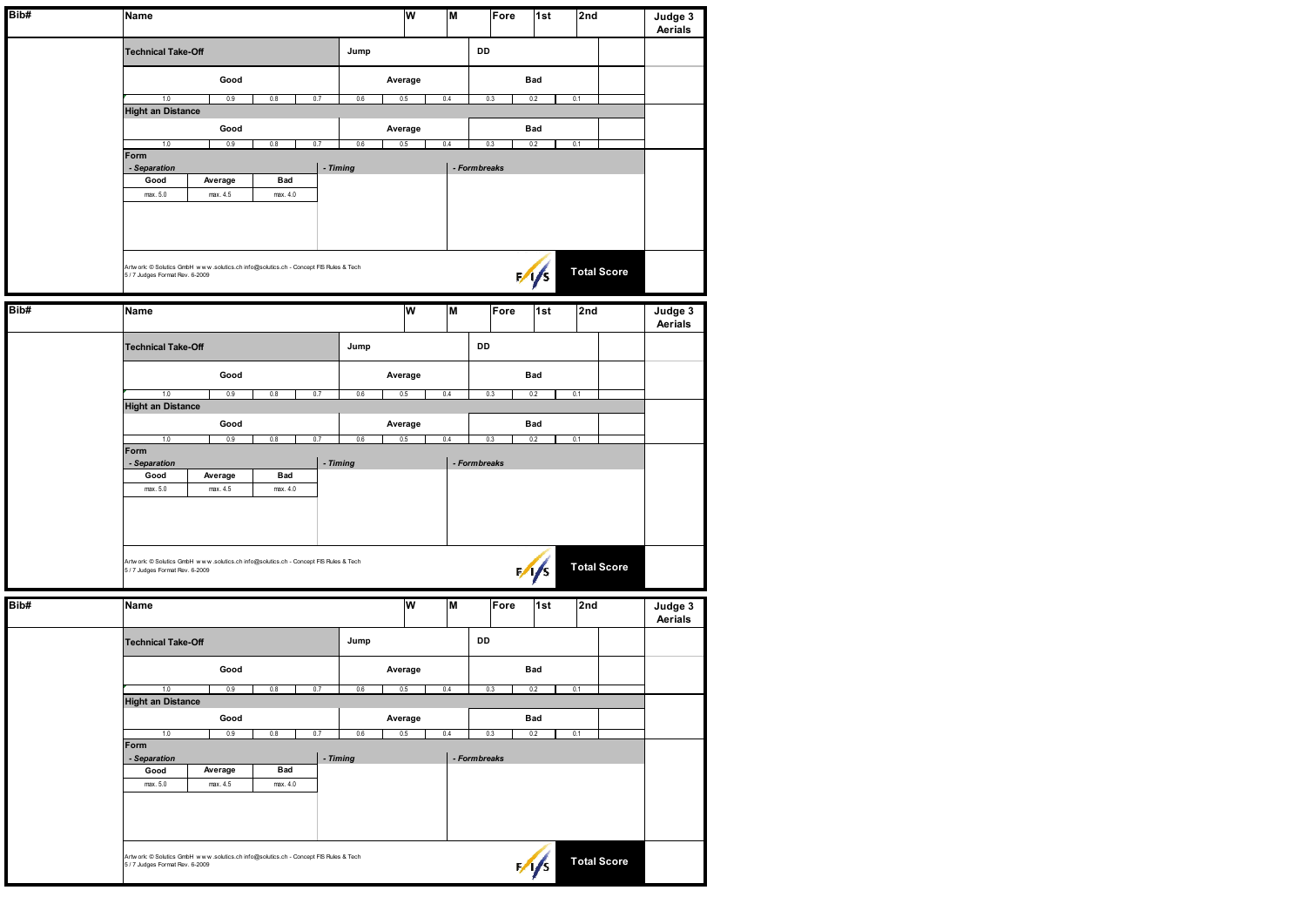| Bib# | Name                             |                     |                                                                                      |          | W<br>M<br>Fore                  |              |            | 1st           | 2nd                | Judge 3<br>Aerials |  |
|------|----------------------------------|---------------------|--------------------------------------------------------------------------------------|----------|---------------------------------|--------------|------------|---------------|--------------------|--------------------|--|
|      | <b>Technical Take-Off</b>        |                     |                                                                                      | Jump     |                                 |              | DD         |               |                    |                    |  |
|      |                                  | Good                |                                                                                      |          | Average                         |              |            | Bad           |                    |                    |  |
|      | 1.0                              | 0.9                 | 0.8<br>0.7                                                                           | 0.6      | 0.5<br>0.4<br>0.3<br>0.2        |              |            |               |                    |                    |  |
|      | <b>Hight an Distance</b>         | Good                |                                                                                      |          | Average                         |              |            |               |                    |                    |  |
|      | 1.0                              | 0.9                 | 0.8<br>0.7                                                                           | 0.6      | 0.5<br>0.4<br>0.3<br>0.1<br>0.2 |              |            |               |                    |                    |  |
|      | Form<br>- Separation             |                     |                                                                                      | - Timing |                                 | - Formbreaks |            |               |                    |                    |  |
|      | Good<br>max. 5.0                 | Average<br>max. 4.5 | <b>Bad</b><br>max. 4.0                                                               |          |                                 |              |            |               |                    |                    |  |
|      |                                  |                     |                                                                                      |          |                                 |              |            |               |                    |                    |  |
|      | 5 / 7 Judges Format Rev. 6-2009  |                     | Artwork: © Solutics GmbH www.solutics.ch info@solutics.ch - Concept FIS Rules & Tech |          |                                 |              |            | $\frac{1}{1}$ | <b>Total Score</b> |                    |  |
| Bib# | Name                             |                     |                                                                                      |          | W                               | Ξ            | Fore       | 1st           | 2nd                | Judge 3<br>Aerials |  |
|      | <b>Technical Take-Off</b>        |                     |                                                                                      | Jump     |                                 |              | DD         |               |                    |                    |  |
|      |                                  | Good                |                                                                                      |          | Average                         |              |            | Bad           |                    |                    |  |
|      | 1.0                              | 0.9                 | 0.8<br>0.7                                                                           | 0.6      | 0.5                             | 0.4          | 0.3<br>0.2 |               |                    |                    |  |
|      | <b>Hight an Distance</b><br>Good |                     |                                                                                      |          |                                 |              |            | Bad           |                    |                    |  |
|      | 1.0<br>Form                      | 0.9                 | 0.7<br>0.8                                                                           | 0.6      | 0.5                             | 0.4          | 0.3        | 0.2           | 0.1                |                    |  |
|      | - Separation                     |                     |                                                                                      | - Timing |                                 | - Formbreaks |            |               |                    |                    |  |
|      | Good<br>max. 5.0                 | Average<br>max. 4.5 | Bad<br>max. 4.0                                                                      |          |                                 |              |            |               |                    |                    |  |
|      |                                  |                     |                                                                                      |          |                                 |              |            |               |                    |                    |  |
|      | 5 / 7 Judges Format Rev. 6-2009  |                     | Artwork: C Solutics GmbH www.solutics.ch info@solutics.ch - Concept FIS Rules & Tech |          |                                 |              |            | $\frac{1}{s}$ | <b>Total Score</b> |                    |  |
| Bib# | Name                             |                     |                                                                                      |          | W                               | Ξ            | Fore       | 1st           | 2nd                | Judge 3<br>Aerials |  |
|      | <b>Technical Take-Off</b>        |                     |                                                                                      | Jump     |                                 |              | DD         |               |                    |                    |  |
|      |                                  | Good                |                                                                                      |          | Average                         |              |            | Bad           |                    |                    |  |
|      | 1.0<br><b>Hight an Distance</b>  | 0.9                 | 0.8<br>0.7                                                                           | 0.6      | 0.5                             | 0.4          | 0.3        | 0.2           | 0.1                |                    |  |
|      |                                  | Good                |                                                                                      |          | Average                         |              |            | Bad           |                    |                    |  |
|      | 1.0<br>Form                      | 0.9                 | 0.6                                                                                  | 0.5      | 0.4                             | 0.3          | 0.2        | 0.1           |                    |                    |  |
|      | - Timing<br>- Separation         |                     |                                                                                      |          |                                 | - Formbreaks |            |               |                    |                    |  |
|      | Good<br>max. 5.0                 | Average<br>max. 4.5 | Bad<br>max. 4.0                                                                      |          |                                 |              |            |               |                    |                    |  |
|      |                                  |                     |                                                                                      |          |                                 |              |            |               |                    |                    |  |
|      | 5 / 7 Judges Format Rev. 6-2009  |                     | Artwork: © Solutics GmbH www.solutics.ch info@solutics.ch - Concept FIS Rules & Tech |          |                                 |              |            | $\sqrt{s}$    | <b>Total Score</b> |                    |  |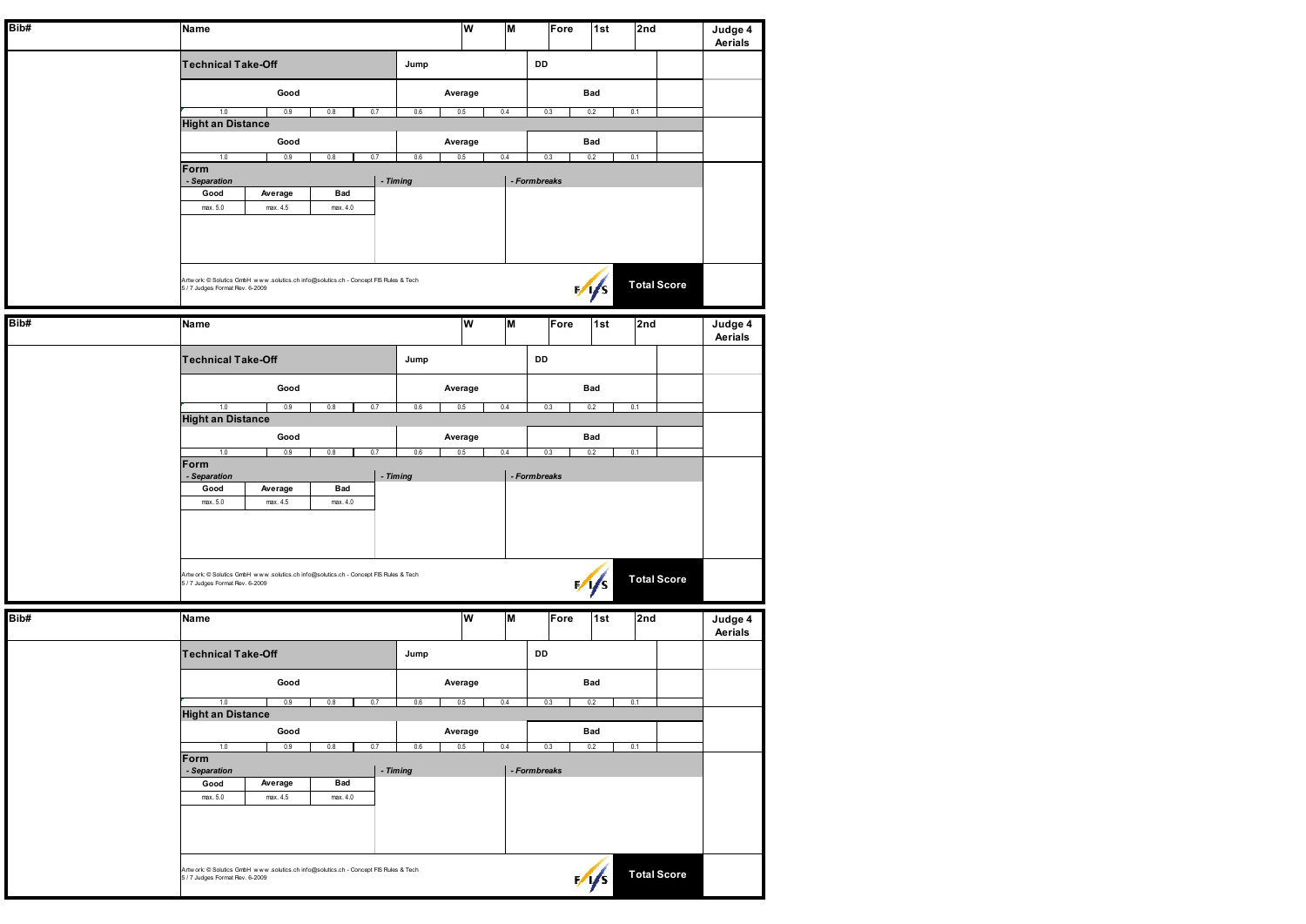| Bib# | <b>Name</b>                         |                     |                                                                                      |          |            |         | W | M   | Fore         |  | 1st           | 2nd                | Judge 4<br>Aerials |
|------|-------------------------------------|---------------------|--------------------------------------------------------------------------------------|----------|------------|---------|---|-----|--------------|--|---------------|--------------------|--------------------|
|      | <b>Technical Take-Off</b>           |                     |                                                                                      |          | DD<br>Jump |         |   |     |              |  |               |                    |                    |
|      |                                     | Good                |                                                                                      |          |            | Average |   |     |              |  | Bad           |                    |                    |
|      | 1.0                                 | 0.9                 | 0.8                                                                                  | 0.7      | 0.6        | 0.5     |   | 0.4 | 0.3          |  | 0.2           | 0.1                |                    |
|      | <b>Hight an Distance</b>            | Good                |                                                                                      |          |            | Average |   |     |              |  | Bad           |                    |                    |
|      | 1.0                                 | 0.9                 | 0.8                                                                                  | 0.7      | 0.6        | 0.5     |   | 0.4 | 0.3          |  | 0.2           | 0.1                |                    |
|      | Form<br>- Separation                |                     |                                                                                      |          | - Timing   |         |   |     | - Formbreaks |  |               |                    |                    |
|      | Good<br>max. 5.0                    | Average<br>max. 4.5 | Bad<br>max. 4.0                                                                      |          |            |         |   |     |              |  |               |                    |                    |
|      |                                     |                     |                                                                                      |          |            |         |   |     |              |  |               |                    |                    |
|      |                                     |                     |                                                                                      |          |            |         |   |     |              |  |               |                    |                    |
|      | 5 / 7 Judges Format Rev. 6-2009     |                     | Artwork: C Solutics GmbH www.solutics.ch info@solutics.ch - Concept FIS Rules & Tech |          |            |         |   |     |              |  | $\sqrt{1/s}$  | <b>Total Score</b> |                    |
| Bib# | Name                                |                     |                                                                                      |          |            |         | W | M   | Fore         |  | 1st           | 2nd                | Judge 4<br>Aerials |
|      | <b>Technical Take-Off</b>           |                     |                                                                                      |          | Jump       |         |   |     | DD           |  |               |                    |                    |
|      |                                     | Good                |                                                                                      |          |            | Average |   |     |              |  | Bad           |                    |                    |
|      | $1.0\,$<br><b>Hight an Distance</b> | 0.9                 | 0.8                                                                                  | 0.7      | $0.6\,$    | 0.5     |   | 0.4 | 0.3          |  | 0.2           | 0.1                |                    |
|      |                                     | Good                |                                                                                      |          |            | Average |   |     |              |  | Bad           |                    |                    |
|      | 1.0<br>Form                         | 0.9                 | 0.8                                                                                  | 0.7      | $0.6\,$    | 0.5     |   | 0.4 | 0.3          |  | 0.2           | 0.1                |                    |
|      | - Separation                        |                     | <b>Bad</b>                                                                           | - Timing |            |         |   |     | - Formbreaks |  |               |                    |                    |
|      | Good<br>max. 5.0                    | Average<br>max. 4.5 | max. 4.0                                                                             |          |            |         |   |     |              |  |               |                    |                    |
|      |                                     |                     |                                                                                      |          |            |         |   |     |              |  |               |                    |                    |
|      |                                     |                     |                                                                                      |          |            |         |   |     |              |  |               |                    |                    |
|      | 5 / 7 Judges Format Rev. 6-2009     |                     | Artwork: C Solutics GmbH www.solutics.ch info@solutics.ch - Concept FIS Rules & Tech |          |            |         |   |     |              |  | $\frac{1}{s}$ | <b>Total Score</b> |                    |
|      |                                     |                     |                                                                                      |          |            |         |   |     |              |  |               |                    |                    |
| Bib# | Name                                |                     |                                                                                      |          |            |         | W | M   | Fore         |  | 1st           | 2nd                | Judge 4<br>Aerials |
|      | <b>Technical Take-Off</b>           |                     |                                                                                      |          | Jump       |         |   |     | DD           |  |               |                    |                    |
|      |                                     | Good                |                                                                                      |          |            | Average |   |     |              |  | Bad           |                    |                    |
|      | 1.0<br><b>Hight an Distance</b>     | 0.9                 | 0.8                                                                                  | 0.7      | 0.6        | 0.5     |   | 0.4 | 0.3          |  | 0.2           | 0.1                |                    |
|      |                                     | Good                |                                                                                      |          |            | Average |   |     |              |  | Bad           |                    |                    |
|      | 1.0<br>Form                         | 0.9                 | 0.8                                                                                  | 0.7      | 0.6        | 0.5     |   | 0.4 | 0.3          |  | 0.2           | 0.1                |                    |
|      | - Separation                        |                     |                                                                                      | - Timing |            |         |   |     | - Formbreaks |  |               |                    |                    |
|      | Good<br>max. 5.0                    | Average<br>max. 4.5 | Bad<br>max. 4.0                                                                      |          |            |         |   |     |              |  |               |                    |                    |
|      |                                     |                     |                                                                                      |          |            |         |   |     |              |  |               |                    |                    |
|      |                                     |                     | Artwork: C Solutics GmbH www.solutics.ch info@solutics.ch - Concept FIS Rules & Tech |          |            |         |   |     |              |  |               |                    |                    |
|      | 5 / 7 Judges Format Rev. 6-2009     |                     |                                                                                      |          |            |         |   |     |              |  | $\frac{1}{2}$ | <b>Total Score</b> |                    |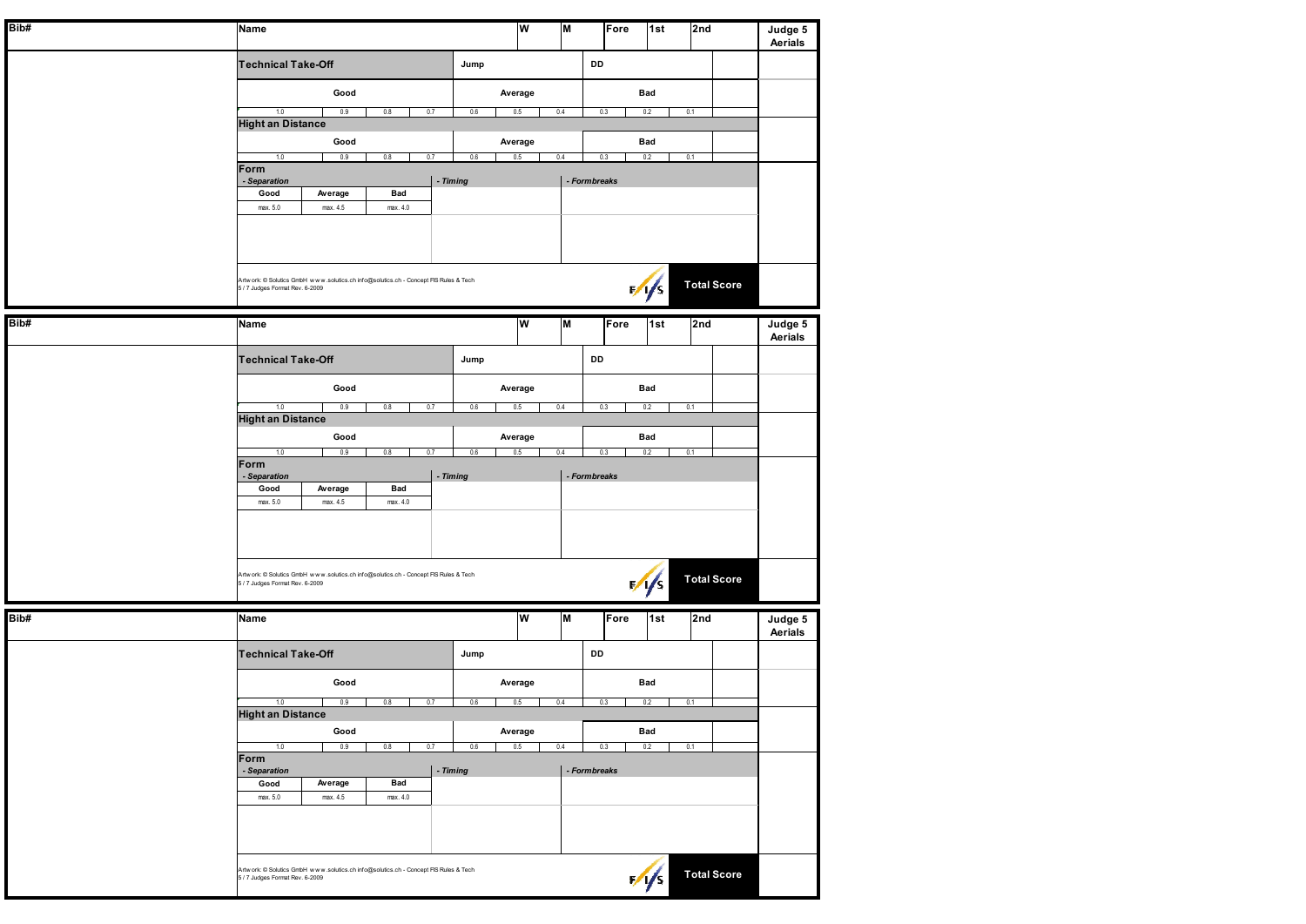| Bib# | Name                                                                                                                    | W                     | M   |              | $\overline{\mathsf{1st}}$           |                           |
|------|-------------------------------------------------------------------------------------------------------------------------|-----------------------|-----|--------------|-------------------------------------|---------------------------|
|      |                                                                                                                         |                       |     | Fore         | 2nd                                 | Judge 5<br>Aerials        |
|      | <b>Technical Take-Off</b>                                                                                               | Jump                  |     | DD           |                                     |                           |
|      |                                                                                                                         |                       |     |              |                                     |                           |
|      | Good                                                                                                                    | Average               |     | Bad          |                                     |                           |
|      | 1.0<br>0.9<br>0.8<br>0.7                                                                                                | 0.6<br>0.5            | 0.4 | 0.3          | 0.2<br>0.1                          |                           |
|      | <b>Hight an Distance</b><br>Good                                                                                        | Average               |     |              | Bad                                 |                           |
|      | 0.9<br>1.0<br>0.8<br>0.7                                                                                                | 0.6<br>0.5            | 0.4 | 0.3          | 0.2<br>0.1                          |                           |
|      | Form<br>- Separation<br>- Timing                                                                                        |                       |     | - Formbreaks |                                     |                           |
|      | Bad<br>Good<br>Average                                                                                                  |                       |     |              |                                     |                           |
|      | max. 5.0<br>max. 4.5<br>max. 4.0                                                                                        |                       |     |              |                                     |                           |
|      |                                                                                                                         |                       |     |              |                                     |                           |
|      |                                                                                                                         |                       |     |              |                                     |                           |
|      |                                                                                                                         |                       |     |              |                                     |                           |
|      | Artwork: @ Solutics GmbH www.solutics.ch info@solutics.ch - Concept FIS Rules & Tech<br>5 / 7 Judges Format Rev. 6-2009 |                       |     |              | <b>Total Score</b><br>$\frac{1}{2}$ |                           |
|      |                                                                                                                         |                       |     |              |                                     |                           |
| Bib# | Name                                                                                                                    | W                     | M   | Fore         | 1st<br>2nd                          | Judge 5<br>Aerials        |
|      |                                                                                                                         |                       |     |              |                                     |                           |
|      | <b>Technical Take-Off</b>                                                                                               | Jump                  |     | DD           |                                     |                           |
|      | Good                                                                                                                    | Average               |     |              | Bad                                 |                           |
|      | 1.0<br>0.9<br>0.8<br>0.7                                                                                                | 0.6<br>0.5            | 0.4 | 0.3          | 0.2<br>0.1                          |                           |
|      | <b>Hight an Distance</b><br>Good                                                                                        |                       |     |              | Bad                                 |                           |
|      | 1.0<br>0.9<br>0.8<br>0.7                                                                                                | Average<br>0.6<br>0.5 | 0.4 | 0.3          | 0.2<br>0.1                          |                           |
|      | Form                                                                                                                    |                       |     | - Formbreaks |                                     |                           |
|      | - Separation<br>- Timing<br>Good<br>Average<br>Bad                                                                      |                       |     |              |                                     |                           |
|      | max. 5.0<br>max. 4.5<br>max. 4.0                                                                                        |                       |     |              |                                     |                           |
|      |                                                                                                                         |                       |     |              |                                     |                           |
|      |                                                                                                                         |                       |     |              |                                     |                           |
|      |                                                                                                                         |                       |     |              |                                     |                           |
|      | Artwork: @ Solutics GmbH www.solutics.ch info@solutics.ch - Concept FIS Rules & Tech<br>5 / 7 Judges Format Rev. 6-2009 |                       |     |              | <b>Total Score</b><br>$\frac{1}{1}$ |                           |
|      |                                                                                                                         |                       |     |              |                                     |                           |
| Bib# | Name                                                                                                                    | W                     | M   | Fore         | 1st<br>2nd                          | Judge 5<br><b>Aerials</b> |
|      |                                                                                                                         |                       |     |              |                                     |                           |
|      | <b>Technical Take-Off</b>                                                                                               | Jump                  |     | DD           |                                     |                           |
|      | Good                                                                                                                    | Average               |     |              | Bad                                 |                           |
|      | 1.0<br>0.9<br>0.8<br>0.7                                                                                                | 0.6<br>0.5            | 0.4 | 0.3          | 0.1<br>0.2                          |                           |
|      | <b>Hight an Distance</b>                                                                                                |                       |     |              |                                     |                           |
|      | Good<br>1.0<br>0.9<br>0.8<br>0.7                                                                                        | Average<br>0.5<br>0.6 | 0.4 | 0.3          | Bad<br>0.2<br>0.1                   |                           |
|      | Form                                                                                                                    |                       |     |              |                                     |                           |
|      | - Separation<br>- Timing<br>Good<br>Bad<br>Average                                                                      |                       |     | - Formbreaks |                                     |                           |
|      | max. 5.0<br>max. 4.5<br>max. 4.0                                                                                        |                       |     |              |                                     |                           |
|      |                                                                                                                         |                       |     |              |                                     |                           |
|      |                                                                                                                         |                       |     |              |                                     |                           |
|      |                                                                                                                         |                       |     |              |                                     |                           |
|      | Artwork: @ Solutics GmbH www.solutics.ch info@solutics.ch - Concept FIS Rules & Tech<br>5 / 7 Judges Format Rev. 6-2009 |                       |     |              | <b>Total Score</b><br>$\sqrt{s}$    |                           |
|      |                                                                                                                         |                       |     |              |                                     |                           |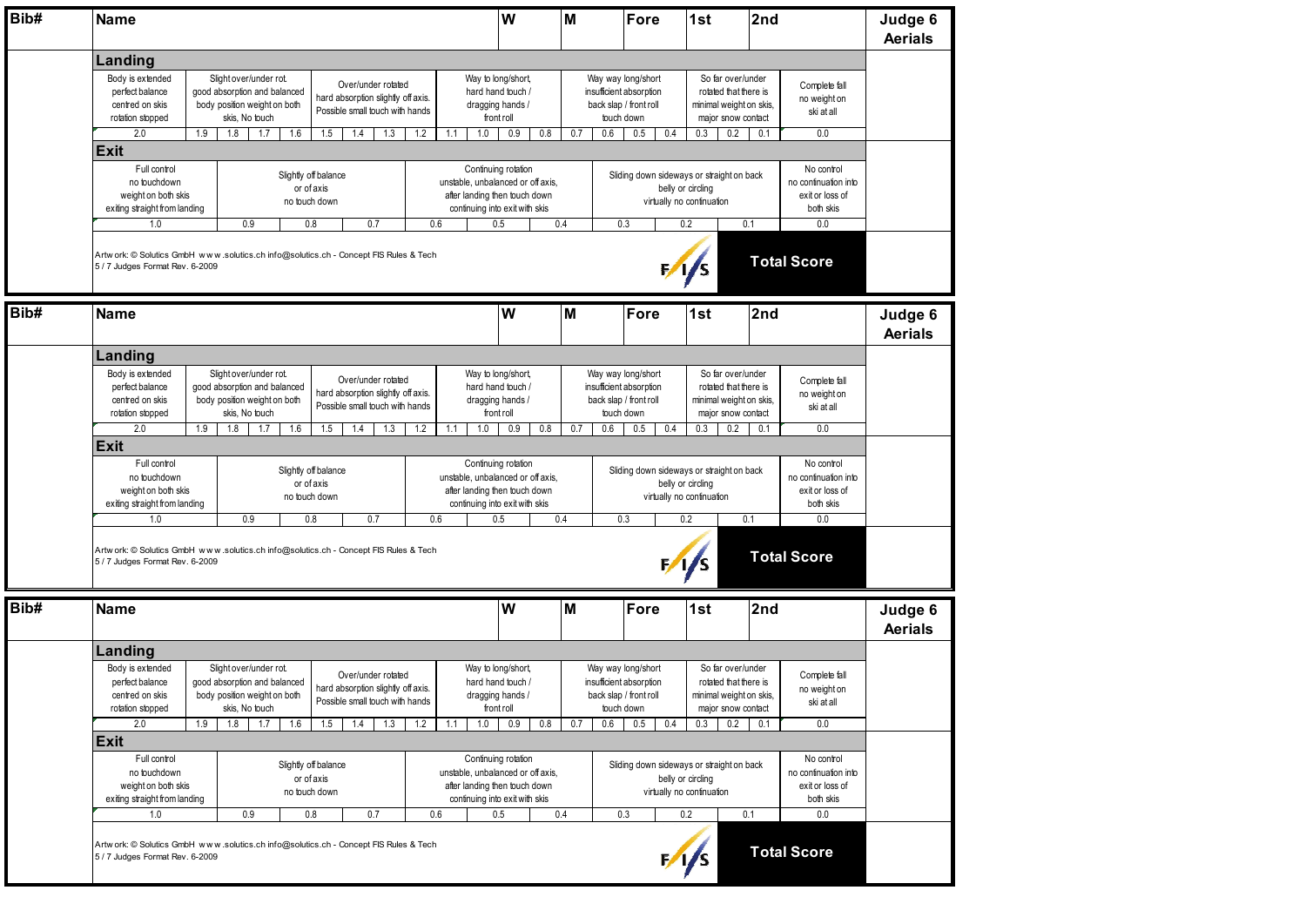| Bib# | <b>Name</b>                                                                                                                                                                                                                                                                                                                                                                                                                                                                                                                             |     |                                                                                                          |                   | W                                                                                           | M                                                                                                                                                |                                        | Fore                                                                                                                                      | 2nd<br>1st                                               |                                                                                                     |                                                                                                                  | Judge 6<br><b>Aerials</b>                                                                                                                         |                                                                                             |                                                                           |                           |  |  |  |
|------|-----------------------------------------------------------------------------------------------------------------------------------------------------------------------------------------------------------------------------------------------------------------------------------------------------------------------------------------------------------------------------------------------------------------------------------------------------------------------------------------------------------------------------------------|-----|----------------------------------------------------------------------------------------------------------|-------------------|---------------------------------------------------------------------------------------------|--------------------------------------------------------------------------------------------------------------------------------------------------|----------------------------------------|-------------------------------------------------------------------------------------------------------------------------------------------|----------------------------------------------------------|-----------------------------------------------------------------------------------------------------|------------------------------------------------------------------------------------------------------------------|---------------------------------------------------------------------------------------------------------------------------------------------------|---------------------------------------------------------------------------------------------|---------------------------------------------------------------------------|---------------------------|--|--|--|
|      | Landing                                                                                                                                                                                                                                                                                                                                                                                                                                                                                                                                 |     |                                                                                                          |                   |                                                                                             |                                                                                                                                                  |                                        |                                                                                                                                           |                                                          |                                                                                                     |                                                                                                                  |                                                                                                                                                   |                                                                                             |                                                                           |                           |  |  |  |
|      | Body is extended<br>Slight over/under rot.<br>Over/under rotated<br>good absorption and balanced<br>perfect balance<br>hard absorption slightly off axis.<br>centred on skis<br>body position weight on both<br>Possible small touch with hands<br>skis, No touch<br>rotation stopped<br>2.0<br>1.9<br>1.8<br>1.7<br>1.6<br>1.5<br>1.4<br>1.3                                                                                                                                                                                           |     |                                                                                                          |                   |                                                                                             | Way to long/short,<br>hard hand touch /<br>dragging hands /<br>front roll                                                                        |                                        |                                                                                                                                           |                                                          | Way way long/short<br>insufficient absorption<br>back slap / front roll<br>touch down<br>0.5<br>0.4 |                                                                                                                  | So far over/under<br>Complete fall<br>rotated that there is<br>no weight on<br>minimal weight on skis,<br>ski at all<br>major snow contact<br>0.2 |                                                                                             |                                                                           |                           |  |  |  |
|      | <b>Exit</b>                                                                                                                                                                                                                                                                                                                                                                                                                                                                                                                             |     |                                                                                                          |                   |                                                                                             | 1.2                                                                                                                                              | 1.0<br>0.9<br>0.8<br>0.7<br>0.6<br>1.1 |                                                                                                                                           |                                                          |                                                                                                     |                                                                                                                  | 0.3                                                                                                                                               | 0.1                                                                                         | 0.0                                                                       |                           |  |  |  |
|      | Full control<br>no touchdown<br>weight on both skis<br>exiting straight from landing<br>1.0                                                                                                                                                                                                                                                                                                                                                                                                                                             |     | 0.9                                                                                                      | or of axis<br>0.8 | Slightly off balance<br>no touch down<br>0.7<br>0.6                                         |                                                                                                                                                  |                                        | Continuing rotation<br>unstable, unbalanced or off axis,<br>after landing then touch down<br>continuing into exit with skis<br>0.5<br>0.4 |                                                          |                                                                                                     | Sliding down sideways or straight on back<br>belly or circling<br>virtually no continuation<br>0.1<br>0.3<br>0.2 |                                                                                                                                                   |                                                                                             | No control<br>no continuation into<br>exit or loss of<br>both skis<br>0.0 |                           |  |  |  |
|      | Artw ork: © Solutics GmbH www.solutics.ch info@solutics.ch - Concept FIS Rules & Tech<br>5 / 7 Judges Format Rev. 6-2009                                                                                                                                                                                                                                                                                                                                                                                                                |     |                                                                                                          |                   |                                                                                             |                                                                                                                                                  |                                        |                                                                                                                                           |                                                          |                                                                                                     |                                                                                                                  | $\frac{1}{s}$                                                                                                                                     |                                                                                             | <b>Total Score</b>                                                        |                           |  |  |  |
| Bib# | <b>Name</b>                                                                                                                                                                                                                                                                                                                                                                                                                                                                                                                             |     |                                                                                                          |                   |                                                                                             |                                                                                                                                                  |                                        | W                                                                                                                                         | M                                                        |                                                                                                     | Fore                                                                                                             | 1st                                                                                                                                               | 2nd                                                                                         |                                                                           | Judge 6<br><b>Aerials</b> |  |  |  |
|      | Landing                                                                                                                                                                                                                                                                                                                                                                                                                                                                                                                                 |     |                                                                                                          |                   |                                                                                             |                                                                                                                                                  |                                        |                                                                                                                                           |                                                          |                                                                                                     |                                                                                                                  |                                                                                                                                                   |                                                                                             |                                                                           |                           |  |  |  |
|      | Body is extended<br>Slight over/under rot.<br>Over/under rotated<br>perfect balance<br>good absorption and balanced<br>hard absorption slightly off axis.<br>centred on skis<br>body position weight on both<br>Possible small touch with hands<br>skis, No touch<br>rotation stopped<br>2.0<br>1.9<br>1.8<br>1.7<br>1.6<br>1.5<br>1.4<br>1.3<br><b>Exit</b><br>Full control<br>Slightly off balance<br>no touchdown<br>or of axis<br>weight on both skis<br>no touch down<br>exiting straight from landing<br>0.9<br>1.0<br>0.8<br>0.7 |     |                                                                                                          |                   |                                                                                             |                                                                                                                                                  |                                        | Way to long/short,<br>hard hand touch /<br>dragging hands /<br>front roll                                                                 |                                                          | Way way long/short<br>insufficient absorption<br>back slap / front roll<br>touch down               |                                                                                                                  |                                                                                                                                                   | So far over/under<br>rotated that there is<br>minimal weight on skis,<br>major snow contact | Complete fall<br>no weight on<br>ski at all                               |                           |  |  |  |
|      |                                                                                                                                                                                                                                                                                                                                                                                                                                                                                                                                         |     |                                                                                                          |                   |                                                                                             | 1.2                                                                                                                                              | 1.0<br>1.1                             | 0.9<br>0.8                                                                                                                                | 0.7                                                      | 0.6                                                                                                 | 0.5<br>0.4                                                                                                       | 0.3                                                                                                                                               | 0.2<br>0.1                                                                                  | 0.0                                                                       |                           |  |  |  |
|      |                                                                                                                                                                                                                                                                                                                                                                                                                                                                                                                                         |     |                                                                                                          |                   |                                                                                             | Continuing rotation<br>unstable, unbalanced or off axis,<br>after landing then touch down<br>continuing into exit with skis<br>0.4<br>0.6<br>0.5 |                                        |                                                                                                                                           |                                                          |                                                                                                     | Sliding down sideways or straight on back<br>0.3                                                                 | belly or circling<br>virtually no continuation<br>0.2                                                                                             | 0.1                                                                                         | No control<br>no continuation into<br>exit or loss of<br>both skis<br>0.0 |                           |  |  |  |
|      | Artw ork: © Solutics GmbH www.solutics.ch info@solutics.ch - Concept FIS Rules & Tech<br>5 / 7 Judges Format Rev. 6-2009                                                                                                                                                                                                                                                                                                                                                                                                                |     |                                                                                                          |                   |                                                                                             |                                                                                                                                                  |                                        |                                                                                                                                           |                                                          |                                                                                                     |                                                                                                                  | 1/s                                                                                                                                               |                                                                                             | <b>Total Score</b>                                                        |                           |  |  |  |
| Bib# | <b>Name</b>                                                                                                                                                                                                                                                                                                                                                                                                                                                                                                                             |     |                                                                                                          |                   |                                                                                             |                                                                                                                                                  |                                        | W                                                                                                                                         | M                                                        |                                                                                                     | Fore                                                                                                             | 1st                                                                                                                                               | 2nd                                                                                         |                                                                           | Judge 6<br><b>Aerials</b> |  |  |  |
|      | Landing                                                                                                                                                                                                                                                                                                                                                                                                                                                                                                                                 |     |                                                                                                          |                   |                                                                                             |                                                                                                                                                  |                                        |                                                                                                                                           |                                                          |                                                                                                     |                                                                                                                  |                                                                                                                                                   |                                                                                             |                                                                           |                           |  |  |  |
|      | Body is extended<br>perfect balance<br>centred on skis<br>rotation stopped                                                                                                                                                                                                                                                                                                                                                                                                                                                              |     | Slight over/under rot.<br>good absorption and balanced<br>body position weight on both<br>skis, No touch |                   | Over/under rotated<br>hard absorption slightly off axis.<br>Possible small touch with hands |                                                                                                                                                  |                                        | Way to long/short,<br>hard hand touch /<br>dragging hands /<br>front roll                                                                 |                                                          | Way way long/short<br>insufficient absorption<br>back slap / front roll<br>touch down               |                                                                                                                  |                                                                                                                                                   | So far over/under<br>rotated that there is<br>minimal weight on skis.<br>major snow contact | Complete fall<br>no weight on<br>ski at all                               |                           |  |  |  |
|      | 2.0                                                                                                                                                                                                                                                                                                                                                                                                                                                                                                                                     | 1.9 | 1.8<br>1.7                                                                                               | 1.6<br>1.5        | 1.4<br>1.3                                                                                  | 1.2                                                                                                                                              | 1.0<br>1.1                             | 0.9<br>0.8                                                                                                                                | 0.7                                                      | 0.6                                                                                                 | 0.5<br>0.4                                                                                                       | 0.3                                                                                                                                               | 0.2<br>0.1                                                                                  | 0.0                                                                       |                           |  |  |  |
|      | <b>Exit</b><br>Full control<br>Slightly off balance<br>no touchdown<br>or of axis<br>weight on both skis<br>no touch down<br>exiting straight from landing                                                                                                                                                                                                                                                                                                                                                                              |     |                                                                                                          |                   |                                                                                             |                                                                                                                                                  |                                        | Continuing rotation<br>unstable, unbalanced or off axis,<br>after landing then touch down<br>continuing into exit with skis<br>0.5        | 0.4                                                      |                                                                                                     | Sliding down sideways or straight on back                                                                        | belly or circling<br>virtually no continuation                                                                                                    |                                                                                             | No control<br>no continuation into<br>exit or loss of<br>both skis<br>0.0 |                           |  |  |  |
|      | 1.0<br>Artw ork: © Solutics GmbH www.solutics.ch info@solutics.ch - Concept FIS Rules & Tech<br>5 / 7 Judges Format Rev. 6-2009                                                                                                                                                                                                                                                                                                                                                                                                         |     | 0.9                                                                                                      | 0.8               | 0.7                                                                                         | 0.6                                                                                                                                              |                                        |                                                                                                                                           | 0.3<br>0.2<br>0.1<br><b>Total Score</b><br>$\frac{1}{s}$ |                                                                                                     |                                                                                                                  |                                                                                                                                                   |                                                                                             |                                                                           |                           |  |  |  |